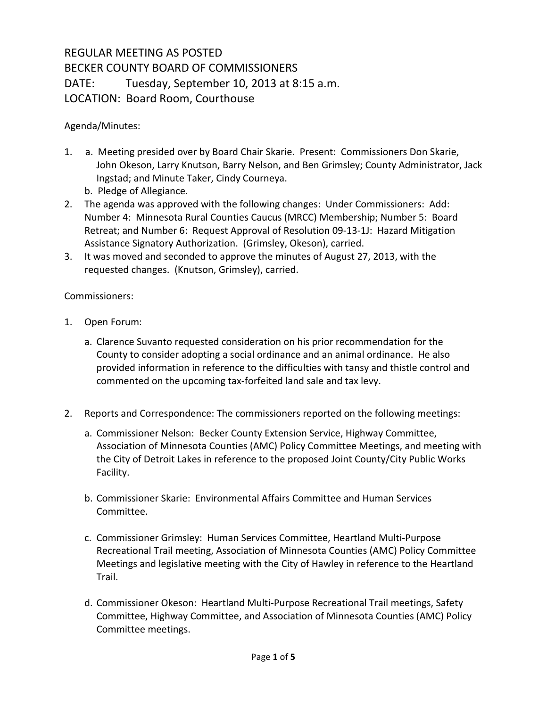## REGULAR MEETING AS POSTED BECKER COUNTY BOARD OF COMMISSIONERS DATE: Tuesday, September 10, 2013 at 8:15 a.m. LOCATION: Board Room, Courthouse

Agenda/Minutes:

- 1. a. Meeting presided over by Board Chair Skarie. Present: Commissioners Don Skarie, John Okeson, Larry Knutson, Barry Nelson, and Ben Grimsley; County Administrator, Jack Ingstad; and Minute Taker, Cindy Courneya.
	- b. Pledge of Allegiance.
- 2. The agenda was approved with the following changes: Under Commissioners: Add: Number 4: Minnesota Rural Counties Caucus (MRCC) Membership; Number 5: Board Retreat; and Number 6: Request Approval of Resolution 09-13-1J: Hazard Mitigation Assistance Signatory Authorization. (Grimsley, Okeson), carried.
- 3. It was moved and seconded to approve the minutes of August 27, 2013, with the requested changes. (Knutson, Grimsley), carried.

Commissioners:

- 1. Open Forum:
	- a. Clarence Suvanto requested consideration on his prior recommendation for the County to consider adopting a social ordinance and an animal ordinance. He also provided information in reference to the difficulties with tansy and thistle control and commented on the upcoming tax-forfeited land sale and tax levy.
- 2. Reports and Correspondence: The commissioners reported on the following meetings:
	- a. Commissioner Nelson: Becker County Extension Service, Highway Committee, Association of Minnesota Counties (AMC) Policy Committee Meetings, and meeting with the City of Detroit Lakes in reference to the proposed Joint County/City Public Works Facility.
	- b. Commissioner Skarie: Environmental Affairs Committee and Human Services Committee.
	- c. Commissioner Grimsley: Human Services Committee, Heartland Multi-Purpose Recreational Trail meeting, Association of Minnesota Counties (AMC) Policy Committee Meetings and legislative meeting with the City of Hawley in reference to the Heartland Trail.
	- d. Commissioner Okeson: Heartland Multi-Purpose Recreational Trail meetings, Safety Committee, Highway Committee, and Association of Minnesota Counties (AMC) Policy Committee meetings.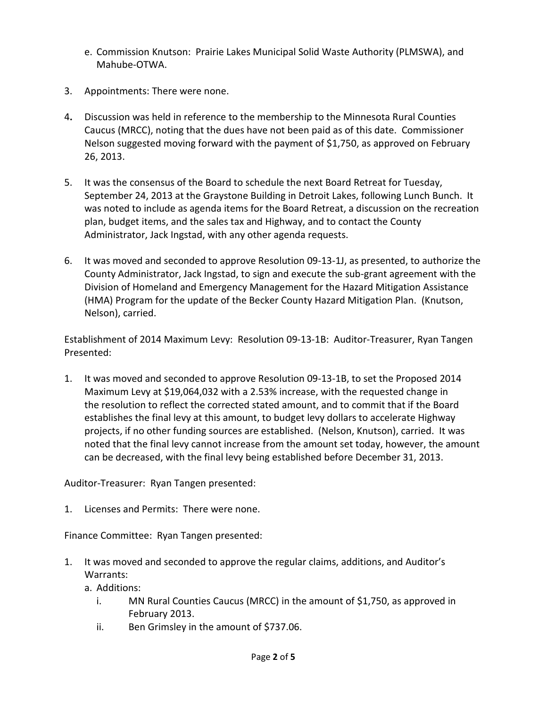- e. Commission Knutson: Prairie Lakes Municipal Solid Waste Authority (PLMSWA), and Mahube-OTWA.
- 3. Appointments: There were none.
- 4**.** Discussion was held in reference to the membership to the Minnesota Rural Counties Caucus (MRCC), noting that the dues have not been paid as of this date. Commissioner Nelson suggested moving forward with the payment of \$1,750, as approved on February 26, 2013.
- 5. It was the consensus of the Board to schedule the next Board Retreat for Tuesday, September 24, 2013 at the Graystone Building in Detroit Lakes, following Lunch Bunch. It was noted to include as agenda items for the Board Retreat, a discussion on the recreation plan, budget items, and the sales tax and Highway, and to contact the County Administrator, Jack Ingstad, with any other agenda requests.
- 6. It was moved and seconded to approve Resolution 09-13-1J, as presented, to authorize the County Administrator, Jack Ingstad, to sign and execute the sub-grant agreement with the Division of Homeland and Emergency Management for the Hazard Mitigation Assistance (HMA) Program for the update of the Becker County Hazard Mitigation Plan. (Knutson, Nelson), carried.

Establishment of 2014 Maximum Levy: Resolution 09-13-1B: Auditor-Treasurer, Ryan Tangen Presented:

1. It was moved and seconded to approve Resolution 09-13-1B, to set the Proposed 2014 Maximum Levy at \$19,064,032 with a 2.53% increase, with the requested change in the resolution to reflect the corrected stated amount, and to commit that if the Board establishes the final levy at this amount, to budget levy dollars to accelerate Highway projects, if no other funding sources are established. (Nelson, Knutson), carried. It was noted that the final levy cannot increase from the amount set today, however, the amount can be decreased, with the final levy being established before December 31, 2013.

Auditor-Treasurer: Ryan Tangen presented:

1. Licenses and Permits: There were none.

Finance Committee: Ryan Tangen presented:

1. It was moved and seconded to approve the regular claims, additions, and Auditor's Warrants:

a. Additions:

- i. MN Rural Counties Caucus (MRCC) in the amount of \$1,750, as approved in February 2013.
- ii. Ben Grimsley in the amount of \$737.06.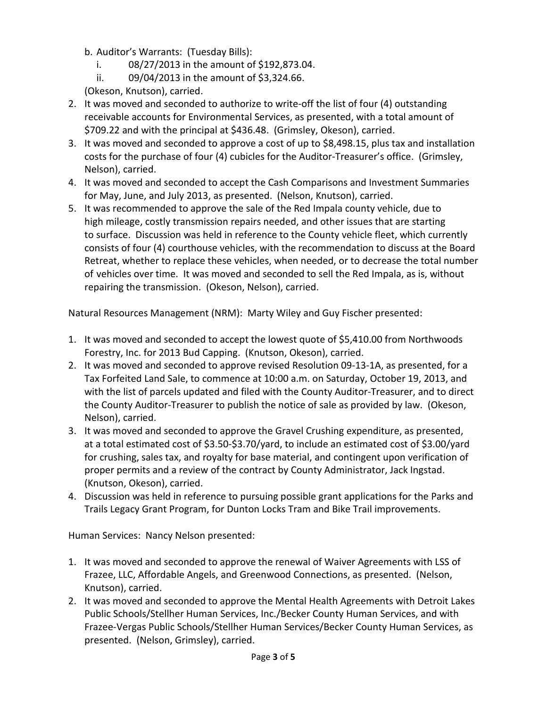- b. Auditor's Warrants: (Tuesday Bills):
	- i. 08/27/2013 in the amount of \$192,873.04.
	- ii. 09/04/2013 in the amount of \$3,324.66.

(Okeson, Knutson), carried.

- 2. It was moved and seconded to authorize to write-off the list of four (4) outstanding receivable accounts for Environmental Services, as presented, with a total amount of \$709.22 and with the principal at \$436.48. (Grimsley, Okeson), carried.
- 3. It was moved and seconded to approve a cost of up to \$8,498.15, plus tax and installation costs for the purchase of four (4) cubicles for the Auditor-Treasurer's office. (Grimsley, Nelson), carried.
- 4. It was moved and seconded to accept the Cash Comparisons and Investment Summaries for May, June, and July 2013, as presented. (Nelson, Knutson), carried.
- 5. It was recommended to approve the sale of the Red Impala county vehicle, due to high mileage, costly transmission repairs needed, and other issues that are starting to surface. Discussion was held in reference to the County vehicle fleet, which currently consists of four (4) courthouse vehicles, with the recommendation to discuss at the Board Retreat, whether to replace these vehicles, when needed, or to decrease the total number of vehicles over time. It was moved and seconded to sell the Red Impala, as is, without repairing the transmission. (Okeson, Nelson), carried.

Natural Resources Management (NRM): Marty Wiley and Guy Fischer presented:

- 1. It was moved and seconded to accept the lowest quote of \$5,410.00 from Northwoods Forestry, Inc. for 2013 Bud Capping. (Knutson, Okeson), carried.
- 2. It was moved and seconded to approve revised Resolution 09-13-1A, as presented, for a Tax Forfeited Land Sale, to commence at 10:00 a.m. on Saturday, October 19, 2013, and with the list of parcels updated and filed with the County Auditor-Treasurer, and to direct the County Auditor-Treasurer to publish the notice of sale as provided by law. (Okeson, Nelson), carried.
- 3. It was moved and seconded to approve the Gravel Crushing expenditure, as presented, at a total estimated cost of \$3.50-\$3.70/yard, to include an estimated cost of \$3.00/yard for crushing, sales tax, and royalty for base material, and contingent upon verification of proper permits and a review of the contract by County Administrator, Jack Ingstad. (Knutson, Okeson), carried.
- 4. Discussion was held in reference to pursuing possible grant applications for the Parks and Trails Legacy Grant Program, for Dunton Locks Tram and Bike Trail improvements.

Human Services: Nancy Nelson presented:

- 1. It was moved and seconded to approve the renewal of Waiver Agreements with LSS of Frazee, LLC, Affordable Angels, and Greenwood Connections, as presented. (Nelson, Knutson), carried.
- 2. It was moved and seconded to approve the Mental Health Agreements with Detroit Lakes Public Schools/Stellher Human Services, Inc./Becker County Human Services, and with Frazee-Vergas Public Schools/Stellher Human Services/Becker County Human Services, as presented. (Nelson, Grimsley), carried.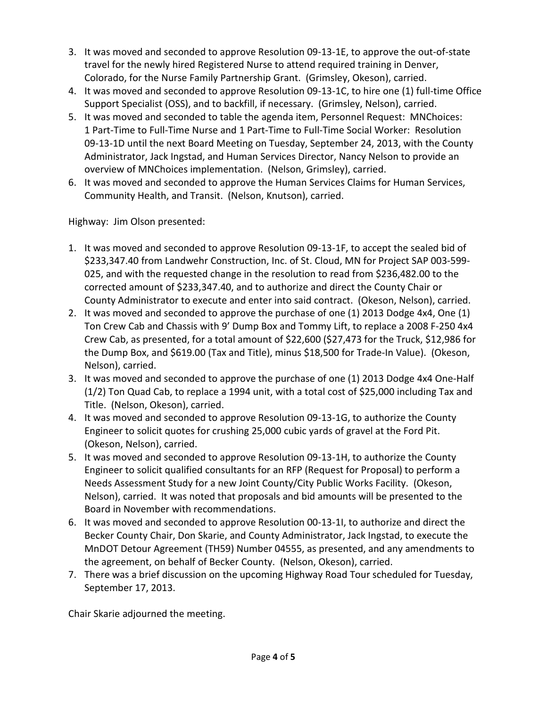- 3. It was moved and seconded to approve Resolution 09-13-1E, to approve the out-of-state travel for the newly hired Registered Nurse to attend required training in Denver, Colorado, for the Nurse Family Partnership Grant. (Grimsley, Okeson), carried.
- 4. It was moved and seconded to approve Resolution 09-13-1C, to hire one (1) full-time Office Support Specialist (OSS), and to backfill, if necessary. (Grimsley, Nelson), carried.
- 5. It was moved and seconded to table the agenda item, Personnel Request: MNChoices: 1 Part-Time to Full-Time Nurse and 1 Part-Time to Full-Time Social Worker: Resolution 09-13-1D until the next Board Meeting on Tuesday, September 24, 2013, with the County Administrator, Jack Ingstad, and Human Services Director, Nancy Nelson to provide an overview of MNChoices implementation. (Nelson, Grimsley), carried.
- 6. It was moved and seconded to approve the Human Services Claims for Human Services, Community Health, and Transit. (Nelson, Knutson), carried.

Highway: Jim Olson presented:

- 1. It was moved and seconded to approve Resolution 09-13-1F, to accept the sealed bid of \$233,347.40 from Landwehr Construction, Inc. of St. Cloud, MN for Project SAP 003-599- 025, and with the requested change in the resolution to read from \$236,482.00 to the corrected amount of \$233,347.40, and to authorize and direct the County Chair or County Administrator to execute and enter into said contract. (Okeson, Nelson), carried.
- 2. It was moved and seconded to approve the purchase of one (1) 2013 Dodge 4x4, One (1) Ton Crew Cab and Chassis with 9' Dump Box and Tommy Lift, to replace a 2008 F-250 4x4 Crew Cab, as presented, for a total amount of \$22,600 (\$27,473 for the Truck, \$12,986 for the Dump Box, and \$619.00 (Tax and Title), minus \$18,500 for Trade-In Value). (Okeson, Nelson), carried.
- 3. It was moved and seconded to approve the purchase of one (1) 2013 Dodge 4x4 One-Half (1/2) Ton Quad Cab, to replace a 1994 unit, with a total cost of \$25,000 including Tax and Title. (Nelson, Okeson), carried.
- 4. It was moved and seconded to approve Resolution 09-13-1G, to authorize the County Engineer to solicit quotes for crushing 25,000 cubic yards of gravel at the Ford Pit. (Okeson, Nelson), carried.
- 5. It was moved and seconded to approve Resolution 09-13-1H, to authorize the County Engineer to solicit qualified consultants for an RFP (Request for Proposal) to perform a Needs Assessment Study for a new Joint County/City Public Works Facility. (Okeson, Nelson), carried. It was noted that proposals and bid amounts will be presented to the Board in November with recommendations.
- 6. It was moved and seconded to approve Resolution 00-13-1I, to authorize and direct the Becker County Chair, Don Skarie, and County Administrator, Jack Ingstad, to execute the MnDOT Detour Agreement (TH59) Number 04555, as presented, and any amendments to the agreement, on behalf of Becker County. (Nelson, Okeson), carried.
- 7. There was a brief discussion on the upcoming Highway Road Tour scheduled for Tuesday, September 17, 2013.

Chair Skarie adjourned the meeting.